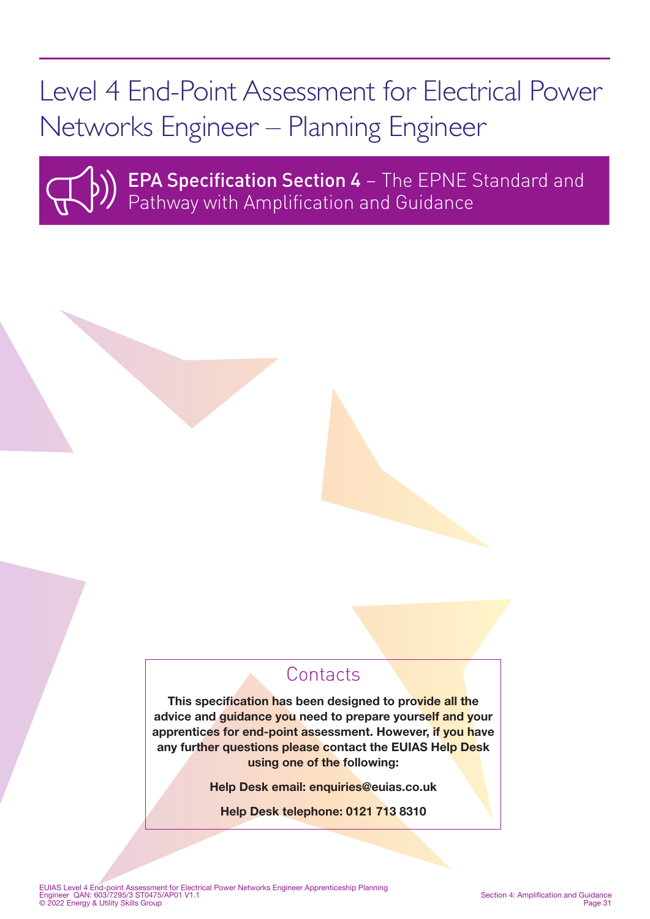# Level 4 End-Point Assessment for Electrical Power Networks Engineer – Planning Engineer



**EPA Specification Section 4 - The EPNE Standard and** Pathway with Amplification and Guidance

# **Contacts**

This specification has been designed to provide all the advice and guidance you need to prepare yourself and your apprentices for end-point assessment. However, if you have any further questions please contact the EUIAS Help Desk using one of the following:

Help Desk email: enquiries@euias.co.uk

Help Desk telephone: 0121 713 8310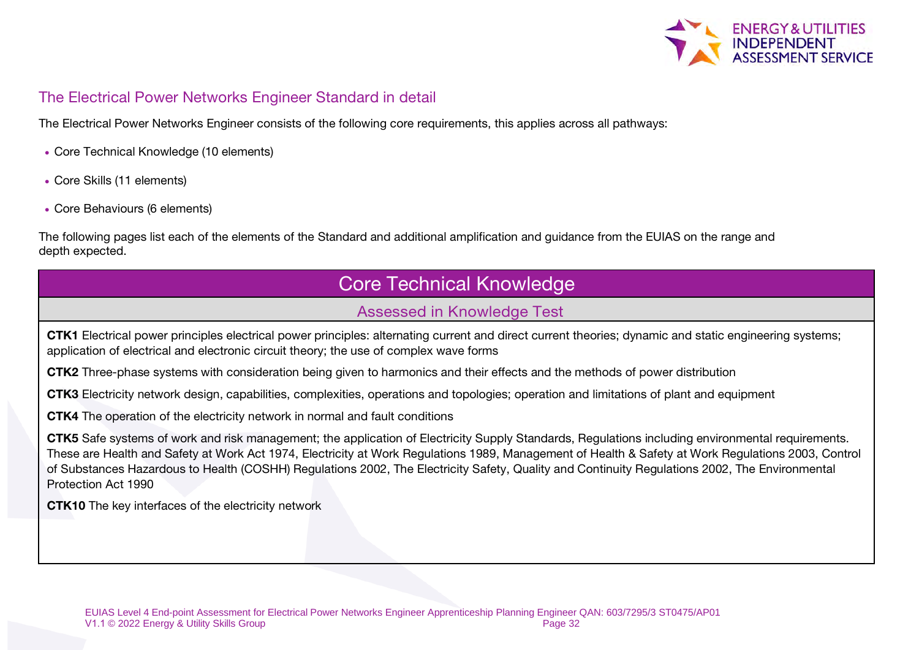

### The Electrical Power Networks Engineer Standard in detail

The Electrical Power Networks Engineer consists of the following core requirements, this applies across all pathways:

- Core Technical Knowledge (10 elements)
- Core Skills (11 elements)
- Core Behaviours (6 elements)

The following pages list each of the elements of the Standard and additional amplification and guidance from the EUIAS on the range and depth expected.

# Core Technical Knowledge

### Assessed in Knowledge Test

CTK1 Electrical power principles electrical power principles: alternating current and direct current theories; dynamic and static engineering systems; application of electrical and electronic circuit theory; the use of complex wave forms

CTK2 Three-phase systems with consideration being given to harmonics and their effects and the methods of power distribution

CTK3 Electricity network design, capabilities, complexities, operations and topologies; operation and limitations of plant and equipment

CTK4 The operation of the electricity network in normal and fault conditions

CTK5 Safe systems of work and risk management; the application of Electricity Supply Standards, Regulations including environmental requirements. These are Health and Safety at Work Act 1974, Electricity at Work Regulations 1989, Management of Health & Safety at Work Regulations 2003, Control of Substances Hazardous to Health (COSHH) Regulations 2002, The Electricity Safety, Quality and Continuity Regulations 2002, The Environmental Protection Act 1990

CTK10 The key interfaces of the electricity network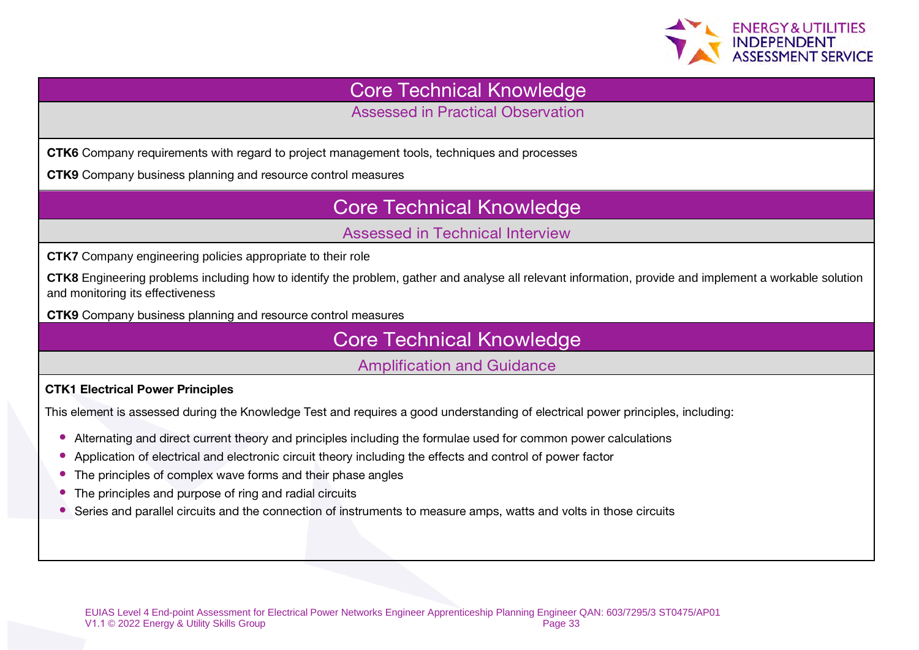

### Core Technical Knowledge

Assessed in Practical Observation

CTK6 Company requirements with regard to project management tools, techniques and processes

CTK9 Company business planning and resource control measures

# Core Technical Knowledge

### Assessed in Technical Interview

**CTK7** Company engineering policies appropriate to their role

**CTK8** Engineering problems including how to identify the problem, gather and analyse all relevant information, provide and implement a workable solution and monitoring its effectiveness

CTK9 Company business planning and resource control measures

Core Technical Knowledge

Amplification and Guidance

#### CTK1 Electrical Power Principles

This element is assessed during the Knowledge Test and requires a good understanding of electrical power principles, including:

- Alternating and direct current theory and principles including the formulae used for common power calculations
- Application of electrical and electronic circuit theory including the effects and control of power factor
- The principles of complex wave forms and their phase angles
- The principles and purpose of ring and radial circuits
- Series and parallel circuits and the connection of instruments to measure amps, watts and volts in those circuits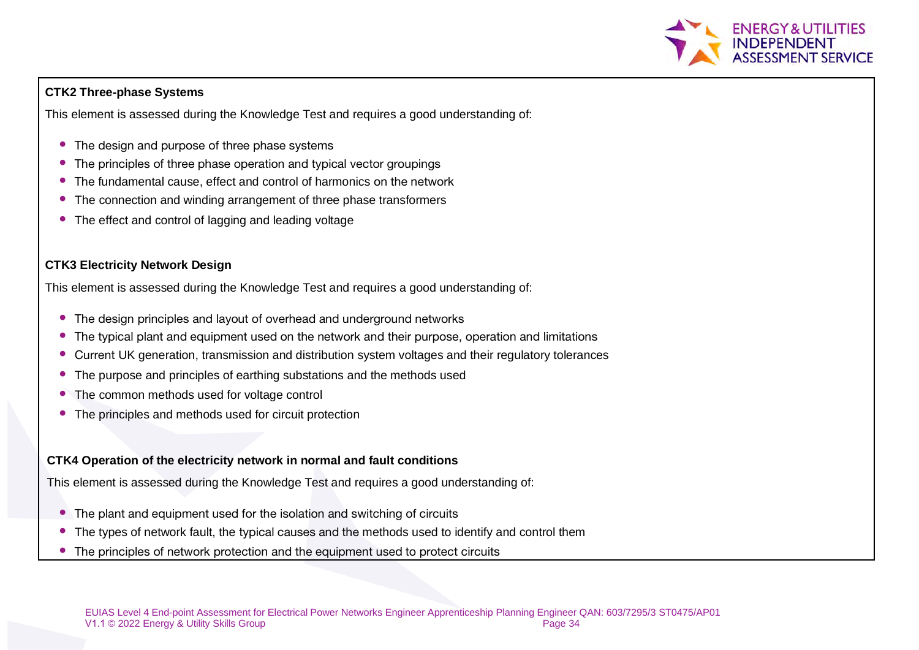

#### **CTK2 Three-phase Systems**

This element is assessed during the Knowledge Test and requires a good understanding of:

- The design and purpose of three phase systems
- The principles of three phase operation and typical vector groupings
- The fundamental cause, effect and control of harmonics on the network
- The connection and winding arrangement of three phase transformers
- The effect and control of lagging and leading voltage

#### **CTK3 Electricity Network Design**

This element is assessed during the Knowledge Test and requires a good understanding of:

- The design principles and layout of overhead and underground networks
- The typical plant and equipment used on the network and their purpose, operation and limitations
- Current UK generation, transmission and distribution system voltages and their regulatory tolerances
- The purpose and principles of earthing substations and the methods used
- The common methods used for voltage control
- The principles and methods used for circuit protection

#### **CTK4 Operation of the electricity network in normal and fault conditions**

This element is assessed during the Knowledge Test and requires a good understanding of:

- The plant and equipment used for the isolation and switching of circuits
- The types of network fault, the typical causes and the methods used to identify and control them
- The principles of network protection and the equipment used to protect circuits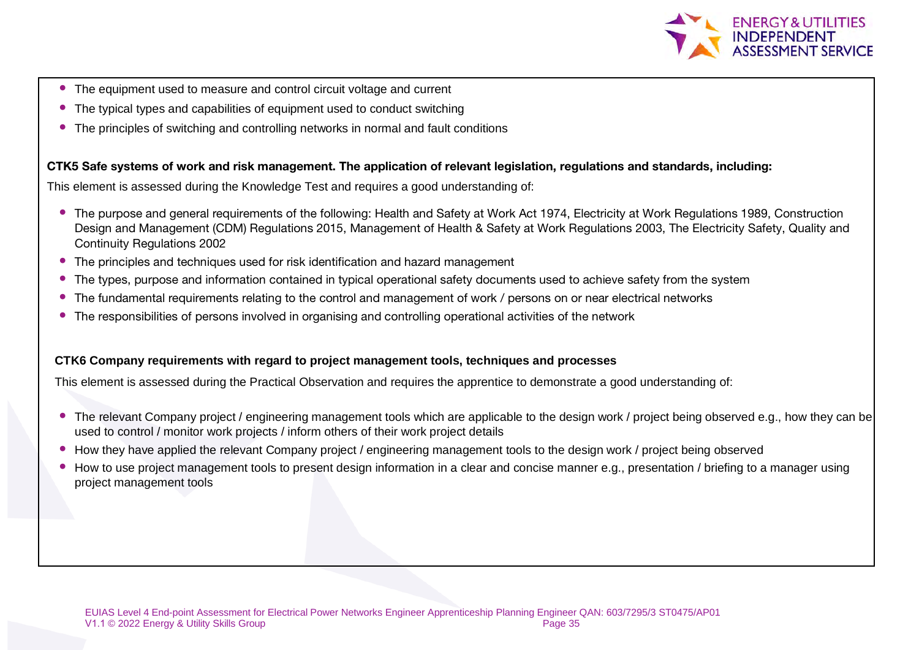

- The equipment used to measure and control circuit voltage and current
- The typical types and capabilities of equipment used to conduct switching
- The principles of switching and controlling networks in normal and fault conditions

#### CTK5 Safe systems of work and risk management. The application of relevant legislation, regulations and standards, including:

This element is assessed during the Knowledge Test and requires a good understanding of:

- The purpose and general requirements of the following: Health and Safety at Work Act 1974, Electricity at Work Regulations 1989, Construction Design and Management (CDM) Regulations 2015, Management of Health & Safety at Work Regulations 2003, The Electricity Safety, Quality and Continuity Regulations 2002
- The principles and techniques used for risk identification and hazard management
- The types, purpose and information contained in typical operational safety documents used to achieve safety from the system
- The fundamental requirements relating to the control and management of work / persons on or near electrical networks
- The responsibilities of persons involved in organising and controlling operational activities of the network

#### **CTK6 Company requirements with regard to project management tools, techniques and processes**

This element is assessed during the Practical Observation and requires the apprentice to demonstrate a good understanding of:

- The relevant Company project / engineering management tools which are applicable to the design work / project being observed e.g., how they can be used to control / monitor work projects / inform others of their work project details
- How they have applied the relevant Company project / engineering management tools to the design work / project being observed
- How to use project management tools to present design information in a clear and concise manner e.g., presentation / briefing to a manager using project management tools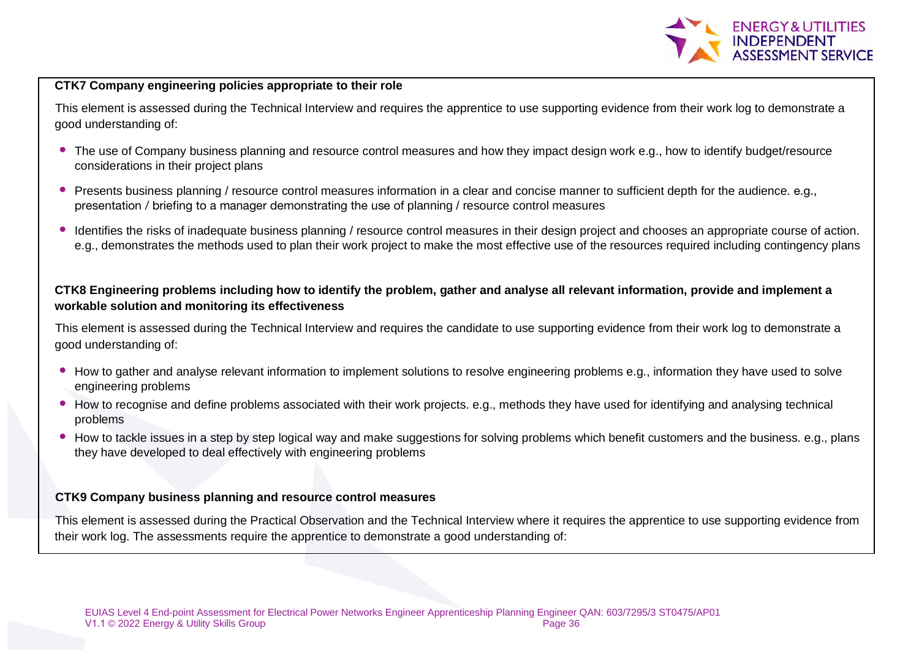

#### **CTK7 Company engineering policies appropriate to their role**

This element is assessed during the Technical Interview and requires the apprentice to use supporting evidence from their work log to demonstrate a good understanding of:

- The use of Company business planning and resource control measures and how they impact design work e.g., how to identify budget/resource considerations in their project plans
- Presents business planning / resource control measures information in a clear and concise manner to sufficient depth for the audience. e.g., presentation / briefing to a manager demonstrating the use of planning / resource control measures
- Identifies the risks of inadequate business planning / resource control measures in their design project and chooses an appropriate course of action. e.g., demonstrates the methods used to plan their work project to make the most effective use of the resources required including contingency plans

#### **CTK8 Engineering problems including how to identify the problem, gather and analyse all relevant information, provide and implement a workable solution and monitoring its effectiveness**

This element is assessed during the Technical Interview and requires the candidate to use supporting evidence from their work log to demonstrate a good understanding of:

- How to gather and analyse relevant information to implement solutions to resolve engineering problems e.g., information they have used to solve engineering problems
- How to recognise and define problems associated with their work projects. e.g., methods they have used for identifying and analysing technical problems
- How to tackle issues in a step by step logical way and make suggestions for solving problems which benefit customers and the business. e.g., plans they have developed to deal effectively with engineering problems

#### **CTK9 Company business planning and resource control measures**

This element is assessed during the Practical Observation and the Technical Interview where it requires the apprentice to use supporting evidence from their work log. The assessments require the apprentice to demonstrate a good understanding of: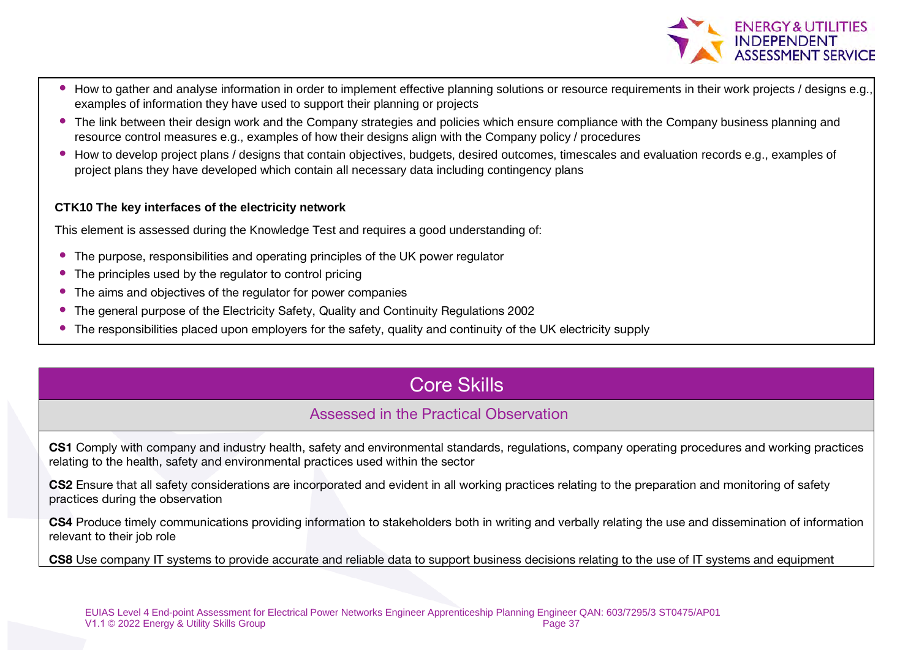

- How to gather and analyse information in order to implement effective planning solutions or resource requirements in their work projects / designs e.g. examples of information they have used to support their planning or projects
- The link between their design work and the Company strategies and policies which ensure compliance with the Company business planning and resource control measures e.g., examples of how their designs align with the Company policy / procedures
- How to develop project plans / designs that contain objectives, budgets, desired outcomes, timescales and evaluation records e.g., examples of project plans they have developed which contain all necessary data including contingency plans

#### **CTK10 The key interfaces of the electricity network**

This element is assessed during the Knowledge Test and requires a good understanding of:

- The purpose, responsibilities and operating principles of the UK power regulator
- The principles used by the regulator to control pricing
- The aims and objectives of the regulator for power companies
- The general purpose of the Electricity Safety, Quality and Continuity Regulations 2002
- The responsibilities placed upon employers for the safety, quality and continuity of the UK electricity supply

# Core Skills

### Assessed in the Practical Observation

CS1 Comply with company and industry health, safety and environmental standards, regulations, company operating procedures and working practices relating to the health, safety and environmental practices used within the sector

CS2 Ensure that all safety considerations are incorporated and evident in all working practices relating to the preparation and monitoring of safety practices during the observation

CS4 Produce timely communications providing information to stakeholders both in writing and verbally relating the use and dissemination of information relevant to their job role

CS8 Use company IT systems to provide accurate and reliable data to support business decisions relating to the use of IT systems and equipment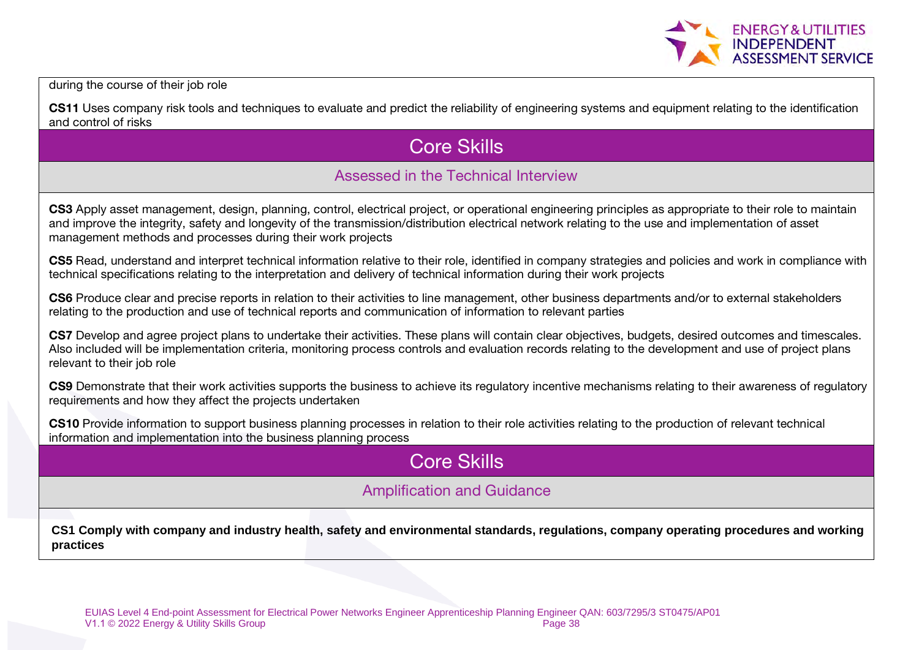

during the course of their job role

CS11 Uses company risk tools and techniques to evaluate and predict the reliability of engineering systems and equipment relating to the identification and control of risks

# Core Skills

### Assessed in the Technical Interview

CS3 Apply asset management, design, planning, control, electrical project, or operational engineering principles as appropriate to their role to maintain and improve the integrity, safety and longevity of the transmission/distribution electrical network relating to the use and implementation of asset management methods and processes during their work projects

CS5 Read, understand and interpret technical information relative to their role, identified in company strategies and policies and work in compliance with technical specifications relating to the interpretation and delivery of technical information during their work projects

CS6 Produce clear and precise reports in relation to their activities to line management, other business departments and/or to external stakeholders relating to the production and use of technical reports and communication of information to relevant parties

CS7 Develop and agree project plans to undertake their activities. These plans will contain clear objectives, budgets, desired outcomes and timescales. Also included will be implementation criteria, monitoring process controls and evaluation records relating to the development and use of project plans relevant to their job role

CS9 Demonstrate that their work activities supports the business to achieve its regulatory incentive mechanisms relating to their awareness of regulatory requirements and how they affect the projects undertaken

CS10 Provide information to support business planning processes in relation to their role activities relating to the production of relevant technical information and implementation into the business planning process

# Core Skills

### Amplification and Guidance

**CS1 Comply with company and industry health, safety and environmental standards, regulations, company operating procedures and working practices**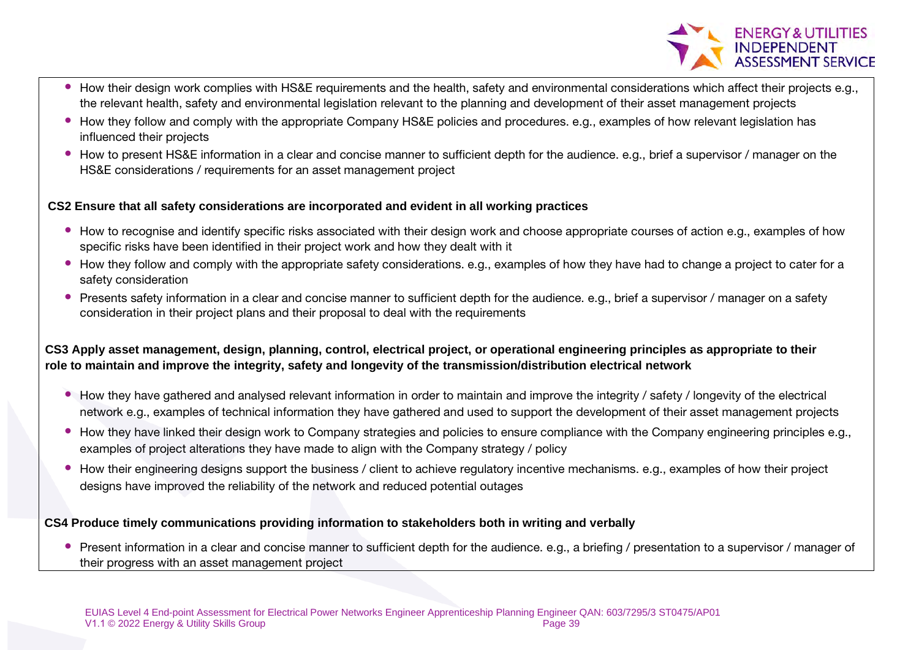**ENERGY & UTILITIES** 

- How their design work complies with HS&E requirements and the health, safety and environmental considerations which affect their projects e.g., the relevant health, safety and environmental legislation relevant to the planning and development of their asset management projects
- How they follow and comply with the appropriate Company HS&E policies and procedures. e.g., examples of how relevant legislation has influenced their projects
- How to present HS&E information in a clear and concise manner to sufficient depth for the audience. e.g., brief a supervisor / manager on the HS&E considerations / requirements for an asset management project

#### **CS2 Ensure that all safety considerations are incorporated and evident in all working practices**

- How to recognise and identify specific risks associated with their design work and choose appropriate courses of action e.g., examples of how specific risks have been identified in their project work and how they dealt with it
- How they follow and comply with the appropriate safety considerations. e.g., examples of how they have had to change a project to cater for a safety consideration
- Presents safety information in a clear and concise manner to sufficient depth for the audience. e.g., brief a supervisor / manager on a safety consideration in their project plans and their proposal to deal with the requirements

#### **CS3 Apply asset management, design, planning, control, electrical project, or operational engineering principles as appropriate to their role to maintain and improve the integrity, safety and longevity of the transmission/distribution electrical network**

- How they have gathered and analysed relevant information in order to maintain and improve the integrity / safety / longevity of the electrical network e.g., examples of technical information they have gathered and used to support the development of their asset management projects
- How they have linked their design work to Company strategies and policies to ensure compliance with the Company engineering principles e.g., examples of project alterations they have made to align with the Company strategy / policy
- How their engineering designs support the business / client to achieve regulatory incentive mechanisms. e.g., examples of how their project designs have improved the reliability of the network and reduced potential outages

#### **CS4 Produce timely communications providing information to stakeholders both in writing and verbally**

• Present information in a clear and concise manner to sufficient depth for the audience. e.g., a briefing / presentation to a supervisor / manager of their progress with an asset management project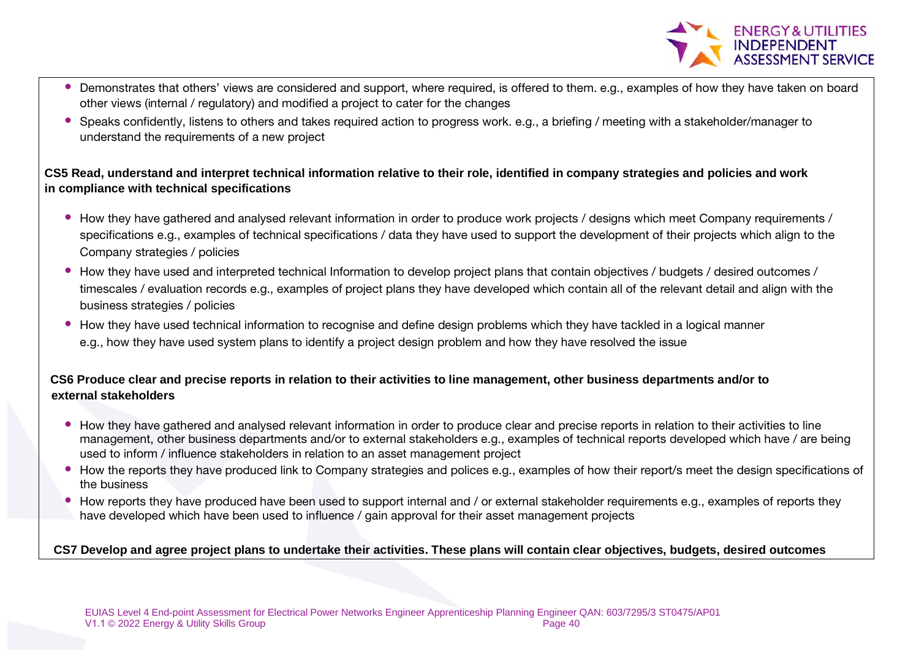

- Demonstrates that others' views are considered and support, where required, is offered to them. e.g., examples of how they have taken on board other views (internal / regulatory) and modified a project to cater for the changes
- Speaks confidently, listens to others and takes required action to progress work. e.g., a briefing / meeting with a stakeholder/manager to understand the requirements of a new project

#### **CS5 Read, understand and interpret technical information relative to their role, identified in company strategies and policies and work in compliance with technical specifications**

- How they have gathered and analysed relevant information in order to produce work projects / designs which meet Company requirements / specifications e.g., examples of technical specifications / data they have used to support the development of their projects which align to the Company strategies / policies
- How they have used and interpreted technical Information to develop project plans that contain objectives / budgets / desired outcomes / timescales / evaluation records e.g., examples of project plans they have developed which contain all of the relevant detail and align with the business strategies / policies
- How they have used technical information to recognise and define design problems which they have tackled in a logical manner e.g., how they have used system plans to identify a project design problem and how they have resolved the issue

#### **CS6 Produce clear and precise reports in relation to their activities to line management, other business departments and/or to external stakeholders**

- How they have gathered and analysed relevant information in order to produce clear and precise reports in relation to their activities to line management, other business departments and/or to external stakeholders e.g., examples of technical reports developed which have / are being used to inform / influence stakeholders in relation to an asset management project
- How the reports they have produced link to Company strategies and polices e.g., examples of how their report/s meet the design specifications of the business
- How reports they have produced have been used to support internal and / or external stakeholder requirements e.g., examples of reports they have developed which have been used to influence / gain approval for their asset management projects

#### **CS7 Develop and agree project plans to undertake their activities. These plans will contain clear objectives, budgets, desired outcomes**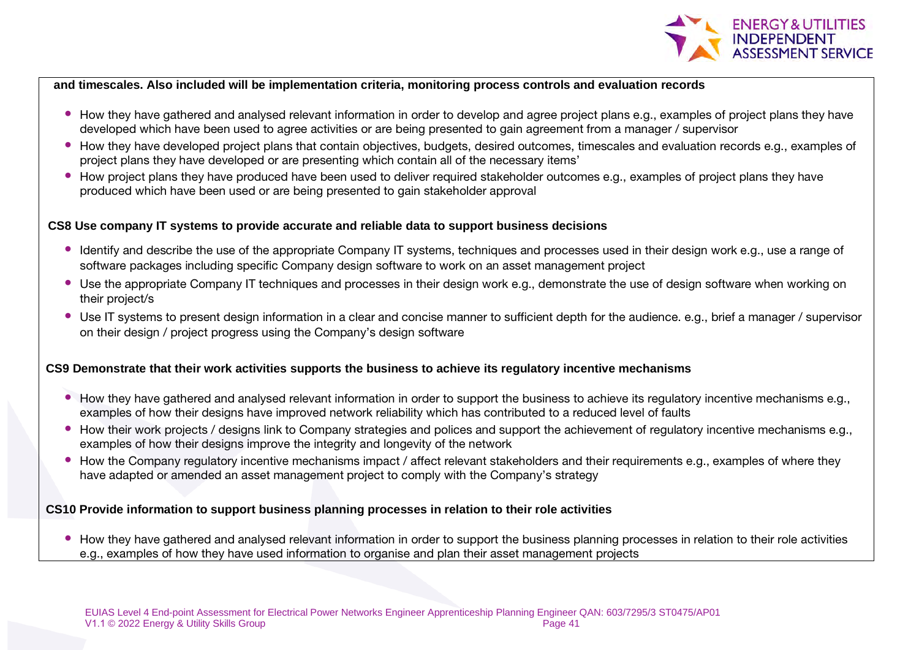

#### **and timescales. Also included will be implementation criteria, monitoring process controls and evaluation records**

- How they have gathered and analysed relevant information in order to develop and agree project plans e.g., examples of project plans they have developed which have been used to agree activities or are being presented to gain agreement from a manager / supervisor
- How they have developed project plans that contain objectives, budgets, desired outcomes, timescales and evaluation records e.g., examples of project plans they have developed or are presenting which contain all of the necessary items'
- How project plans they have produced have been used to deliver required stakeholder outcomes e.g., examples of project plans they have produced which have been used or are being presented to gain stakeholder approval

#### **CS8 Use company IT systems to provide accurate and reliable data to support business decisions**

- Identify and describe the use of the appropriate Company IT systems, techniques and processes used in their design work e.g., use a range of software packages including specific Company design software to work on an asset management project
- Use the appropriate Company IT techniques and processes in their design work e.g., demonstrate the use of design software when working on their project/s
- Use IT systems to present design information in a clear and concise manner to sufficient depth for the audience. e.g., brief a manager / supervisor on their design / project progress using the Company's design software

#### **CS9 Demonstrate that their work activities supports the business to achieve its regulatory incentive mechanisms**

- How they have gathered and analysed relevant information in order to support the business to achieve its regulatory incentive mechanisms e.g., examples of how their designs have improved network reliability which has contributed to a reduced level of faults
- How their work projects / designs link to Company strategies and polices and support the achievement of regulatory incentive mechanisms e.g., examples of how their designs improve the integrity and longevity of the network
- How the Company regulatory incentive mechanisms impact / affect relevant stakeholders and their requirements e.g., examples of where they have adapted or amended an asset management project to comply with the Company's strategy

#### **CS10 Provide information to support business planning processes in relation to their role activities**

• How they have gathered and analysed relevant information in order to support the business planning processes in relation to their role activities e.g., examples of how they have used information to organise and plan their asset management projects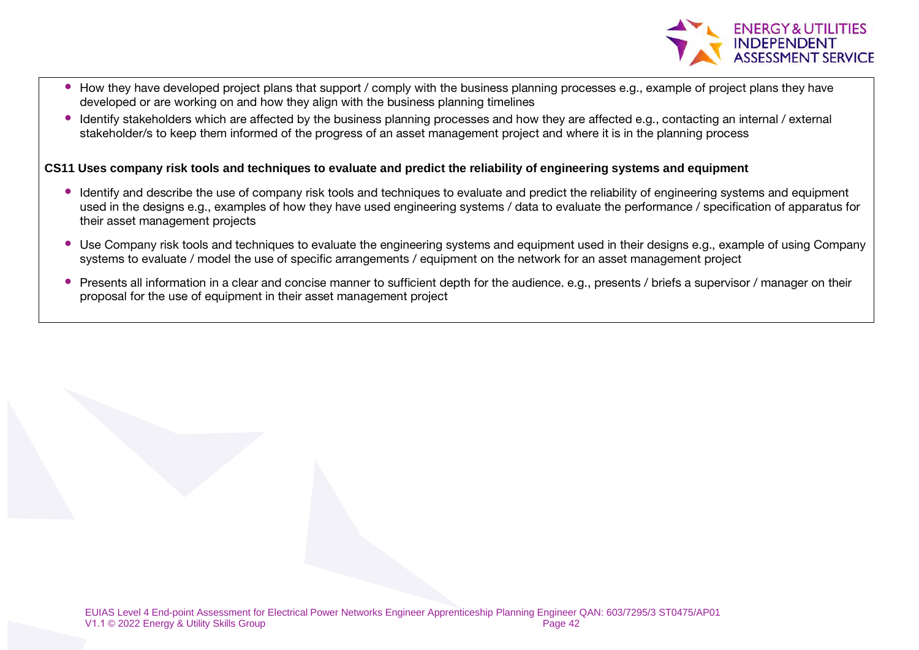

- How they have developed project plans that support / comply with the business planning processes e.g., example of project plans they have developed or are working on and how they align with the business planning timelines
- Identify stakeholders which are affected by the business planning processes and how they are affected e.g., contacting an internal / external stakeholder/s to keep them informed of the progress of an asset management project and where it is in the planning process

#### **CS11 Uses company risk tools and techniques to evaluate and predict the reliability of engineering systems and equipment**

- Identify and describe the use of company risk tools and techniques to evaluate and predict the reliability of engineering systems and equipment used in the designs e.g., examples of how they have used engineering systems / data to evaluate the performance / specification of apparatus for their asset management projects
- Use Company risk tools and techniques to evaluate the engineering systems and equipment used in their designs e.g., example of using Company systems to evaluate / model the use of specific arrangements / equipment on the network for an asset management project
- Presents all information in a clear and concise manner to sufficient depth for the audience. e.g., presents / briefs a supervisor / manager on their proposal for the use of equipment in their asset management project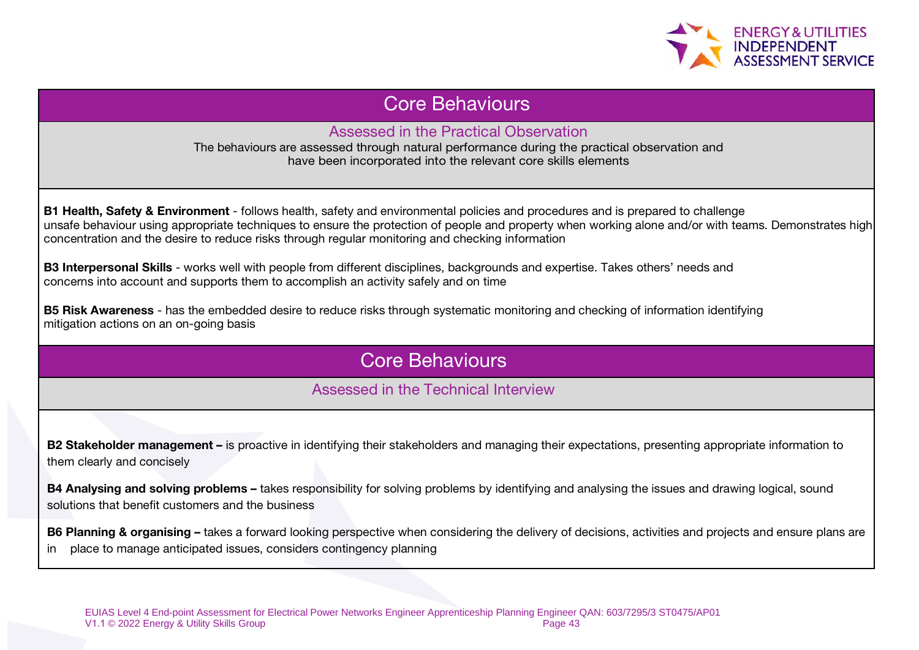

### Core Behaviours

Assessed in the Practical Observation

The behaviours are assessed through natural performance during the practical observation and have been incorporated into the relevant core skills elements

B1 Health, Safety & Environment - follows health, safety and environmental policies and procedures and is prepared to challenge unsafe behaviour using appropriate techniques to ensure the protection of people and property when working alone and/or with teams. Demonstrates high concentration and the desire to reduce risks through regular monitoring and checking information

B3 Interpersonal Skills - works well with people from different disciplines, backgrounds and expertise. Takes others' needs and concerns into account and supports them to accomplish an activity safely and on time

**B5 Risk Awareness** - has the embedded desire to reduce risks through systematic monitoring and checking of information identifying mitigation actions on an on-going basis

# Core Behaviours

### Assessed in the Technical Interview

B2 Stakeholder management – is proactive in identifying their stakeholders and managing their expectations, presenting appropriate information to them clearly and concisely

B4 Analysing and solving problems – takes responsibility for solving problems by identifying and analysing the issues and drawing logical, sound solutions that benefit customers and the business

B6 Planning & organising – takes a forward looking perspective when considering the delivery of decisions, activities and projects and ensure plans are in place to manage anticipated issues, considers contingency planning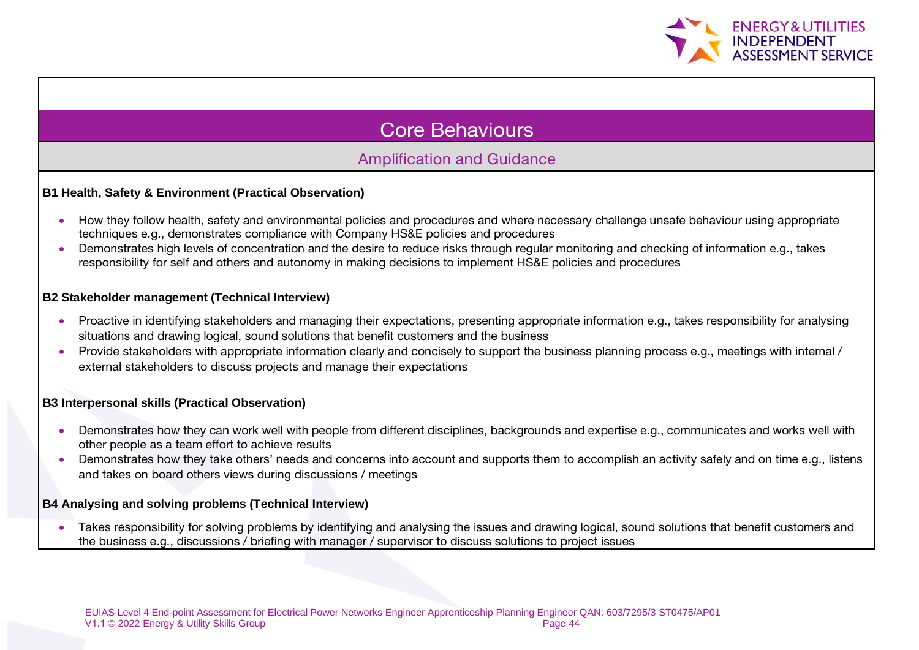

# Core Behaviours

### Amplification and Guidance

#### **B1 Health, Safety & Environment (Practical Observation)**

- How they follow health, safety and environmental policies and procedures and where necessary challenge unsafe behaviour using appropriate techniques e.g., demonstrates compliance with Company HS&E policies and procedures
- Demonstrates high levels of concentration and the desire to reduce risks through regular monitoring and checking of information e.g., takes responsibility for self and others and autonomy in making decisions to implement HS&E policies and procedures

#### **B2 Stakeholder management (Technical Interview)**

- Proactive in identifying stakeholders and managing their expectations, presenting appropriate information e.g., takes responsibility for analysing situations and drawing logical, sound solutions that benefit customers and the business
- Provide stakeholders with appropriate information clearly and concisely to support the business planning process e.g., meetings with internal / external stakeholders to discuss projects and manage their expectations

#### **B3 Interpersonal skills (Practical Observation)**

- Demonstrates how they can work well with people from different disciplines, backgrounds and expertise e.g., communicates and works well with other people as a team effort to achieve results
- Demonstrates how they take others' needs and concerns into account and supports them to accomplish an activity safely and on time e.g., listens and takes on board others views during discussions / meetings

#### **B4 Analysing and solving problems (Technical Interview)**

• Takes responsibility for solving problems by identifying and analysing the issues and drawing logical, sound solutions that benefit customers and the business e.g., discussions / briefing with manager / supervisor to discuss solutions to project issues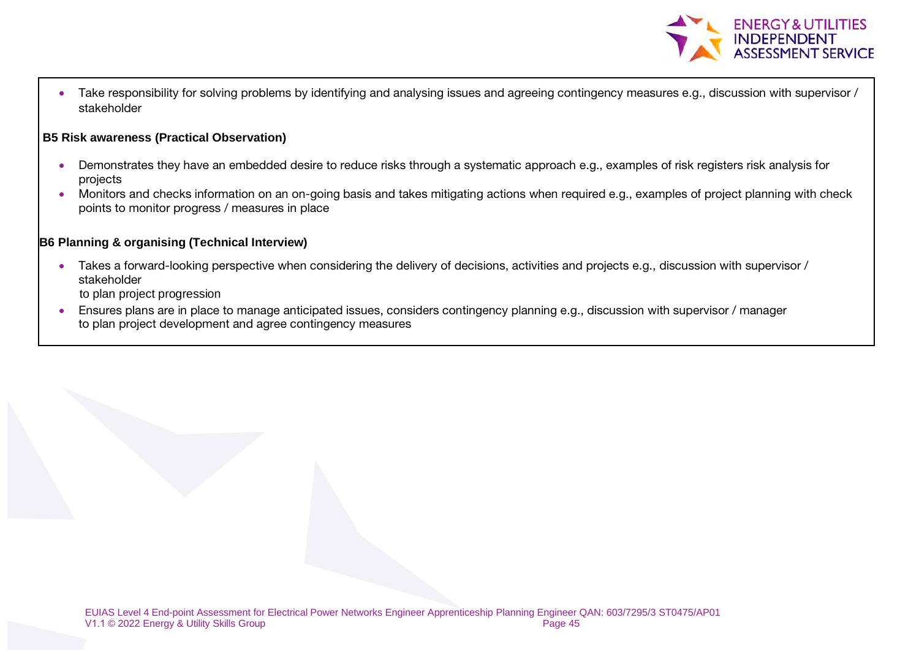

• Take responsibility for solving problems by identifying and analysing issues and agreeing contingency measures e.g., discussion with supervisor / stakeholder

#### **B5 Risk awareness (Practical Observation)**

- Demonstrates they have an embedded desire to reduce risks through a systematic approach e.g., examples of risk registers risk analysis for projects
- Monitors and checks information on an on-going basis and takes mitigating actions when required e.g., examples of project planning with check points to monitor progress / measures in place

#### **B6 Planning & organising (Technical Interview)**

• Takes a forward-looking perspective when considering the delivery of decisions, activities and projects e.g., discussion with supervisor / stakeholder

to plan project progression

• Ensures plans are in place to manage anticipated issues, considers contingency planning e.g., discussion with supervisor / manager to plan project development and agree contingency measures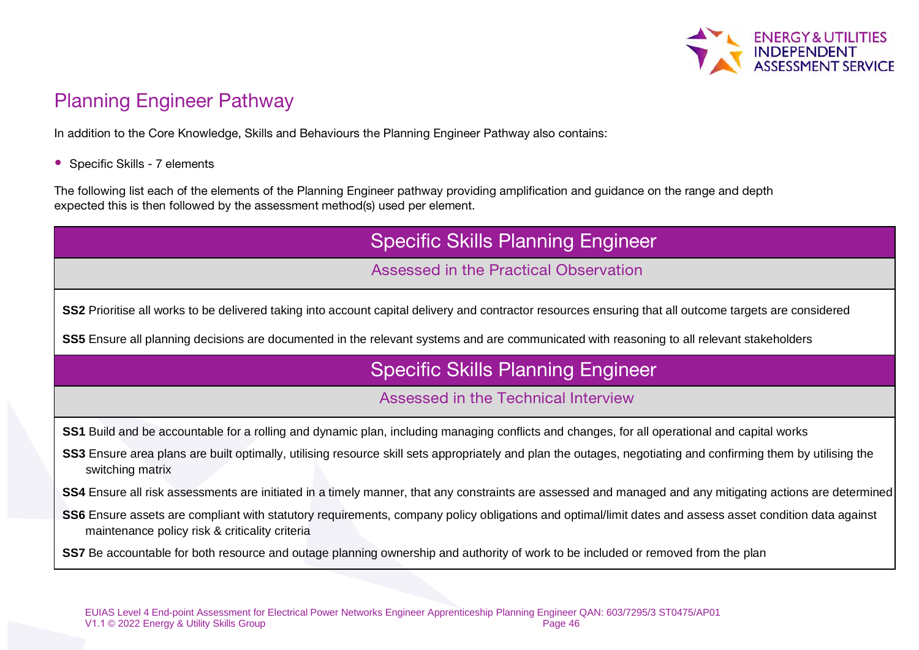

# Planning Engineer Pathway

In addition to the Core Knowledge, Skills and Behaviours the Planning Engineer Pathway also contains:

• Specific Skills - 7 elements

The following list each of the elements of the Planning Engineer pathway providing amplification and guidance on the range and depth expected this is then followed by the assessment method(s) used per element.

| <b>Specific Skills Planning Engineer</b>                                                                                                                                                                  |
|-----------------------------------------------------------------------------------------------------------------------------------------------------------------------------------------------------------|
| Assessed in the Practical Observation                                                                                                                                                                     |
| SS2 Prioritise all works to be delivered taking into account capital delivery and contractor resources ensuring that all outcome targets are considered                                                   |
| SS5 Ensure all planning decisions are documented in the relevant systems and are communicated with reasoning to all relevant stakeholders                                                                 |
| <b>Specific Skills Planning Engineer</b>                                                                                                                                                                  |
| Assessed in the Technical Interview                                                                                                                                                                       |
| SS1 Build and be accountable for a rolling and dynamic plan, including managing conflicts and changes, for all operational and capital works                                                              |
| SS3 Ensure area plans are built optimally, utilising resource skill sets appropriately and plan the outages, negotiating and confirming them by utilising the<br>switching matrix                         |
| SS4 Ensure all risk assessments are initiated in a timely manner, that any constraints are assessed and managed and any mitigating actions are determined                                                 |
| SS6 Ensure assets are compliant with statutory requirements, company policy obligations and optimal/limit dates and assess asset condition data against<br>maintenance policy risk & criticality criteria |
| SS7 Be accountable for both resource and outage planning ownership and authority of work to be included or removed from the plan                                                                          |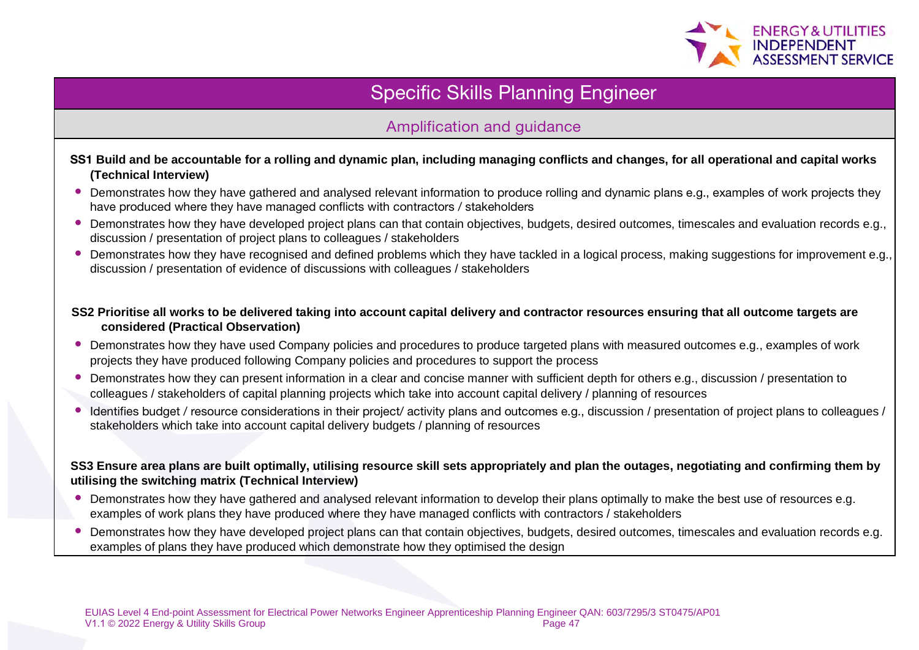

# Specific Skills Planning Engineer

### Amplification and guidance

#### SS1 **Build and be accountable for a rolling and dynamic plan, including managing conflicts and changes, for all operational and capital works (Technical Interview)**

- Demonstrates how they have gathered and analysed relevant information to produce rolling and dynamic plans e.g., examples of work projects they have produced where they have managed conflicts with contractors / stakeholders
- Demonstrates how they have developed project plans can that contain objectives, budgets, desired outcomes, timescales and evaluation records e.g., discussion / presentation of project plans to colleagues / stakeholders
- Demonstrates how they have recognised and defined problems which they have tackled in a logical process, making suggestions for improvement e.g. discussion / presentation of evidence of discussions with colleagues / stakeholders

#### **SS2 Prioritise all works to be delivered taking into account capital delivery and contractor resources ensuring that all outcome targets are considered (Practical Observation)**

- Demonstrates how they have used Company policies and procedures to produce targeted plans with measured outcomes e.g., examples of work projects they have produced following Company policies and procedures to support the process
- Demonstrates how they can present information in a clear and concise manner with sufficient depth for others e.g., discussion / presentation to colleagues / stakeholders of capital planning projects which take into account capital delivery / planning of resources
- Identifies budget / resource considerations in their project/ activity plans and outcomes e.g., discussion / presentation of project plans to colleagues / stakeholders which take into account capital delivery budgets / planning of resources

#### **SS3 Ensure area plans are built optimally, utilising resource skill sets appropriately and plan the outages, negotiating and confirming them by utilising the switching matrix (Technical Interview)**

- Demonstrates how they have gathered and analysed relevant information to develop their plans optimally to make the best use of resources e.g. examples of work plans they have produced where they have managed conflicts with contractors / stakeholders
- Demonstrates how they have developed project plans can that contain objectives, budgets, desired outcomes, timescales and evaluation records e.g. examples of plans they have produced which demonstrate how they optimised the design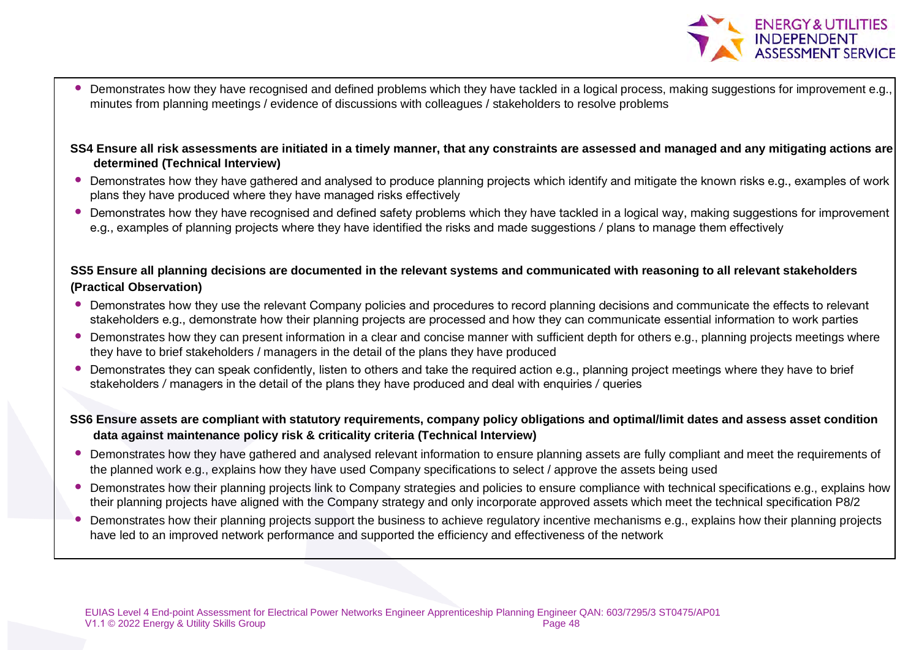

- Demonstrates how they have recognised and defined problems which they have tackled in a logical process, making suggestions for improvement e.g., minutes from planning meetings / evidence of discussions with colleagues / stakeholders to resolve problems
- **SS4 Ensure all risk assessments are initiated in a timely manner, that any constraints are assessed and managed and any mitigating actions are determined (Technical Interview)**
- Demonstrates how they have gathered and analysed to produce planning projects which identify and mitigate the known risks e.g., examples of work plans they have produced where they have managed risks effectively
- Demonstrates how they have recognised and defined safety problems which they have tackled in a logical way, making suggestions for improvement e.g., examples of planning projects where they have identified the risks and made suggestions / plans to manage them effectively

#### **SS5 Ensure all planning decisions are documented in the relevant systems and communicated with reasoning to all relevant stakeholders (Practical Observation)**

- Demonstrates how they use the relevant Company policies and procedures to record planning decisions and communicate the effects to relevant stakeholders e.g., demonstrate how their planning projects are processed and how they can communicate essential information to work parties
- Demonstrates how they can present information in a clear and concise manner with sufficient depth for others e.g., planning projects meetings where they have to brief stakeholders / managers in the detail of the plans they have produced
- Demonstrates they can speak confidently, listen to others and take the required action e.g., planning project meetings where they have to brief stakeholders / managers in the detail of the plans they have produced and deal with enquiries / queries
- **SS6 Ensure assets are compliant with statutory requirements, company policy obligations and optimal/limit dates and assess asset condition data against maintenance policy risk & criticality criteria (Technical Interview)**
- Demonstrates how they have gathered and analysed relevant information to ensure planning assets are fully compliant and meet the requirements of the planned work e.g., explains how they have used Company specifications to select / approve the assets being used
- Demonstrates how their planning projects link to Company strategies and policies to ensure compliance with technical specifications e.g., explains how their planning projects have aligned with the Company strategy and only incorporate approved assets which meet the technical specification P8/2
- Demonstrates how their planning projects support the business to achieve regulatory incentive mechanisms e.g., explains how their planning projects have led to an improved network performance and supported the efficiency and effectiveness of the network